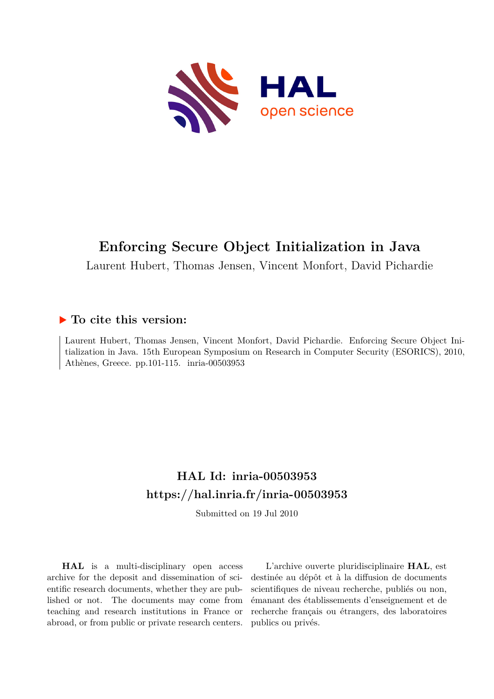

# **Enforcing Secure Object Initialization in Java**

Laurent Hubert, Thomas Jensen, Vincent Monfort, David Pichardie

### **To cite this version:**

Laurent Hubert, Thomas Jensen, Vincent Monfort, David Pichardie. Enforcing Secure Object Initialization in Java. 15th European Symposium on Research in Computer Security (ESORICS), 2010, Athènes, Greece. pp.101-115. inria-00503953

## **HAL Id: inria-00503953 <https://hal.inria.fr/inria-00503953>**

Submitted on 19 Jul 2010

**HAL** is a multi-disciplinary open access archive for the deposit and dissemination of scientific research documents, whether they are published or not. The documents may come from teaching and research institutions in France or abroad, or from public or private research centers.

L'archive ouverte pluridisciplinaire **HAL**, est destinée au dépôt et à la diffusion de documents scientifiques de niveau recherche, publiés ou non, émanant des établissements d'enseignement et de recherche français ou étrangers, des laboratoires publics ou privés.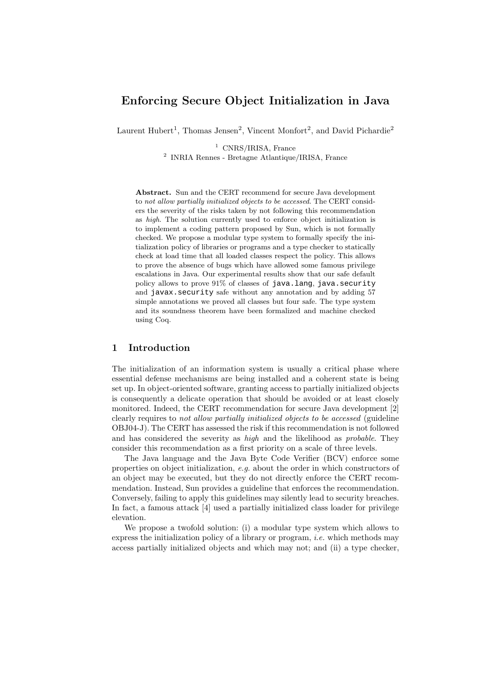### Enforcing Secure Object Initialization in Java

Laurent Hubert<sup>1</sup>, Thomas Jensen<sup>2</sup>, Vincent Monfort<sup>2</sup>, and David Pichardie<sup>2</sup>

<sup>1</sup> CNRS/IRISA, France

2 INRIA Rennes - Bretagne Atlantique/IRISA, France

Abstract. Sun and the CERT recommend for secure Java development to not allow partially initialized objects to be accessed. The CERT considers the severity of the risks taken by not following this recommendation as high. The solution currently used to enforce object initialization is to implement a coding pattern proposed by Sun, which is not formally checked. We propose a modular type system to formally specify the initialization policy of libraries or programs and a type checker to statically check at load time that all loaded classes respect the policy. This allows to prove the absence of bugs which have allowed some famous privilege escalations in Java. Our experimental results show that our safe default policy allows to prove 91% of classes of java.lang, java.security and javax.security safe without any annotation and by adding 57 simple annotations we proved all classes but four safe. The type system and its soundness theorem have been formalized and machine checked using Coq.

#### 1 Introduction

The initialization of an information system is usually a critical phase where essential defense mechanisms are being installed and a coherent state is being set up. In object-oriented software, granting access to partially initialized objects is consequently a delicate operation that should be avoided or at least closely monitored. Indeed, the CERT recommendation for secure Java development [2] clearly requires to *not allow partially initialized objects to be accessed* (guideline OBJ04-J). The CERT has assessed the risk if this recommendation is not followed and has considered the severity as *high* and the likelihood as *probable*. They consider this recommendation as a first priority on a scale of three levels.

The Java language and the Java Byte Code Verifier (BCV) enforce some properties on object initialization, *e.g.* about the order in which constructors of an object may be executed, but they do not directly enforce the CERT recommendation. Instead, Sun provides a guideline that enforces the recommendation. Conversely, failing to apply this guidelines may silently lead to security breaches. In fact, a famous attack [4] used a partially initialized class loader for privilege elevation.

We propose a twofold solution: (i) a modular type system which allows to express the initialization policy of a library or program, *i.e.* which methods may access partially initialized objects and which may not; and (ii) a type checker,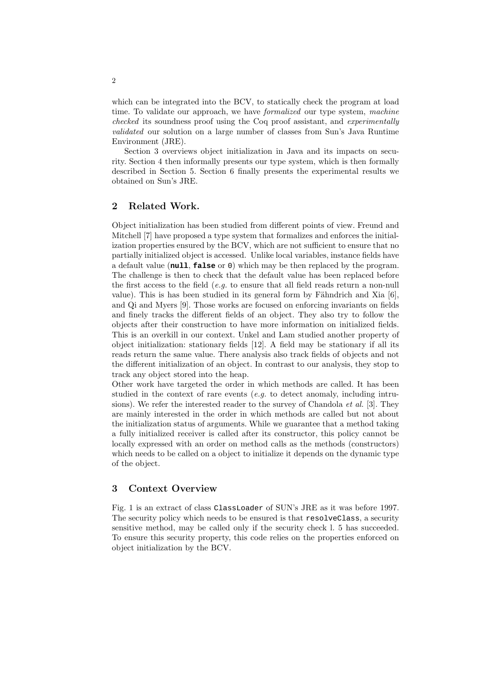which can be integrated into the BCV, to statically check the program at load time. To validate our approach, we have *formalized* our type system, *machine checked* its soundness proof using the Coq proof assistant, and *experimentally validated* our solution on a large number of classes from Sun's Java Runtime Environment (JRE).

Section 3 overviews object initialization in Java and its impacts on security. Section 4 then informally presents our type system, which is then formally described in Section 5. Section 6 finally presents the experimental results we obtained on Sun's JRE.

#### 2 Related Work.

Object initialization has been studied from different points of view. Freund and Mitchell [7] have proposed a type system that formalizes and enforces the initialization properties ensured by the BCV, which are not sufficient to ensure that no partially initialized object is accessed. Unlike local variables, instance fields have a default value (**null**, **false** or 0) which may be then replaced by the program. The challenge is then to check that the default value has been replaced before the first access to the field (*e.g.* to ensure that all field reads return a non-null value). This is has been studied in its general form by Fähndrich and Xia  $[6]$ , and Qi and Myers [9]. Those works are focused on enforcing invariants on fields and finely tracks the different fields of an object. They also try to follow the objects after their construction to have more information on initialized fields. This is an overkill in our context. Unkel and Lam studied another property of object initialization: stationary fields [12]. A field may be stationary if all its reads return the same value. There analysis also track fields of objects and not the different initialization of an object. In contrast to our analysis, they stop to track any object stored into the heap.

Other work have targeted the order in which methods are called. It has been studied in the context of rare events (*e.g.* to detect anomaly, including intrusions). We refer the interested reader to the survey of Chandola *et al.* [3]. They are mainly interested in the order in which methods are called but not about the initialization status of arguments. While we guarantee that a method taking a fully initialized receiver is called after its constructor, this policy cannot be locally expressed with an order on method calls as the methods (constructors) which needs to be called on a object to initialize it depends on the dynamic type of the object.

#### 3 Context Overview

Fig. 1 is an extract of class ClassLoader of SUN's JRE as it was before 1997. The security policy which needs to be ensured is that resolveClass, a security sensitive method, may be called only if the security check l. 5 has succeeded. To ensure this security property, this code relies on the properties enforced on object initialization by the BCV.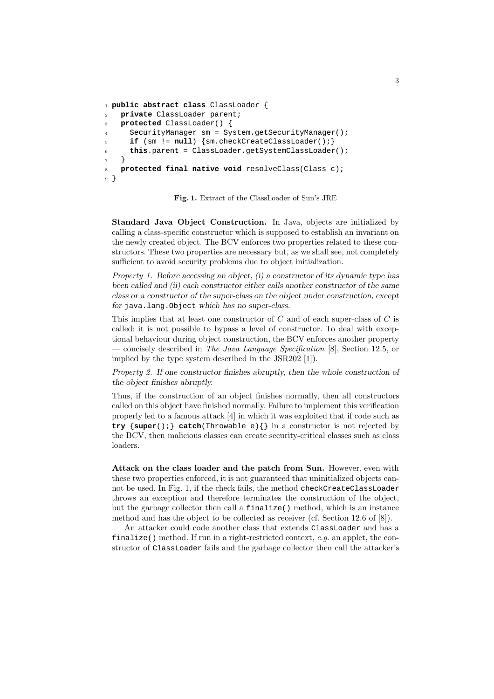```
1 public abstract class ClassLoader {
2 private ClassLoader parent;
3 protected ClassLoader() {
4 SecurityManager sm = System.getSecurityManager();
5 if (sm != null) {sm.checkCreateClassLoader();}
6 this.parent = ClassLoader.getSystemClassLoader();
7 }
8 protected final native void resolveClass(Class c);
9 }
```
Fig. 1. Extract of the ClassLoader of Sun's JRE

Standard Java Object Construction. In Java, objects are initialized by calling a class-specific constructor which is supposed to establish an invariant on the newly created object. The BCV enforces two properties related to these constructors. These two properties are necessary but, as we shall see, not completely sufficient to avoid security problems due to object initialization.

*Property 1.* Before accessing an object, (i) a constructor of its dynamic type has been called and (ii) each constructor either calls another constructor of the same class or a constructor of the super-class on the object under construction, except for java.lang.Object which has no super-class.

This implies that at least one constructor of  $C$  and of each super-class of  $C$  is called: it is not possible to bypass a level of constructor. To deal with exceptional behaviour during object construction, the BCV enforces another property — concisely described in *The Java Language Specification* [8], Section 12.5, or implied by the type system described in the JSR202 [1]).

*Property 2.* If one constructor finishes abruptly, then the whole construction of the object finishes abruptly.

Thus, if the construction of an object finishes normally, then all constructors called on this object have finished normally. Failure to implement this verification properly led to a famous attack [4] in which it was exploited that if code such as **try** {**super**();} **catch**(Throwable e){} in a constructor is not rejected by the BCV, then malicious classes can create security-critical classes such as class loaders.

Attack on the class loader and the patch from Sun. However, even with these two properties enforced, it is not guaranteed that uninitialized objects cannot be used. In Fig. 1, if the check fails, the method checkCreateClassLoader throws an exception and therefore terminates the construction of the object, but the garbage collector then call a finalize() method, which is an instance method and has the object to be collected as receiver (cf. Section 12.6 of [8]).

An attacker could code another class that extends ClassLoader and has a finalize() method. If run in a right-restricted context, *e.g.* an applet, the constructor of ClassLoader fails and the garbage collector then call the attacker's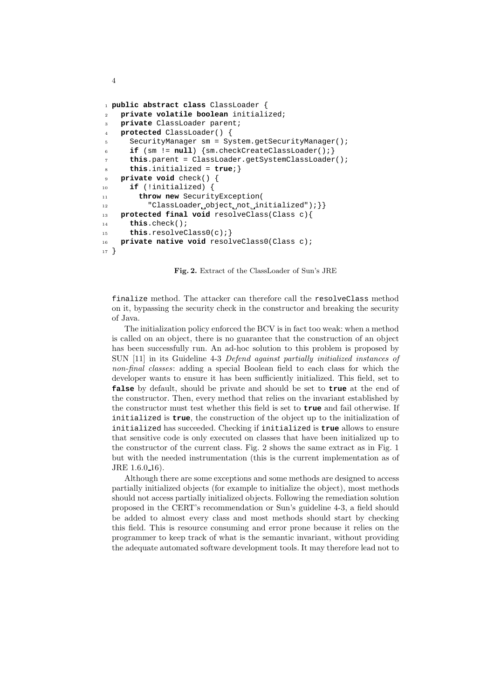```
1 public abstract class ClassLoader {
2 private volatile boolean initialized;
3 private ClassLoader parent;
4 protected ClassLoader() {
      5 SecurityManager sm = System.getSecurityManager();
\mathbf{f} (sm != \texttt{null}) {sm.checkCreateClassLoader(); }
      7 this.parent = ClassLoader.getSystemClassLoader();
8 this.initialized = true;}
9 private void check() {
10 if (!initialized) {
11 throw new SecurityException(
12 "ClassLoader_object_not_initialized"); } }
13 protected final void resolveClass(Class c){
14 this.check();
15 this.resolveClass0(c);}
16 private native void resolveClass0(Class c);
17 }
```
Fig. 2. Extract of the ClassLoader of Sun's JRE

finalize method. The attacker can therefore call the resolveClass method on it, bypassing the security check in the constructor and breaking the security of Java.

The initialization policy enforced the BCV is in fact too weak: when a method is called on an object, there is no guarantee that the construction of an object has been successfully run. An ad-hoc solution to this problem is proposed by SUN [11] in its Guideline 4-3 *Defend against partially initialized instances of non-final classes*: adding a special Boolean field to each class for which the developer wants to ensure it has been sufficiently initialized. This field, set to **false** by default, should be private and should be set to **true** at the end of the constructor. Then, every method that relies on the invariant established by the constructor must test whether this field is set to **true** and fail otherwise. If initialized is **true**, the construction of the object up to the initialization of initialized has succeeded. Checking if initialized is **true** allows to ensure that sensitive code is only executed on classes that have been initialized up to the constructor of the current class. Fig. 2 shows the same extract as in Fig. 1 but with the needed instrumentation (this is the current implementation as of JRE 1.6.0 16).

Although there are some exceptions and some methods are designed to access partially initialized objects (for example to initialize the object), most methods should not access partially initialized objects. Following the remediation solution proposed in the CERT's recommendation or Sun's guideline 4-3, a field should be added to almost every class and most methods should start by checking this field. This is resource consuming and error prone because it relies on the programmer to keep track of what is the semantic invariant, without providing the adequate automated software development tools. It may therefore lead not to

4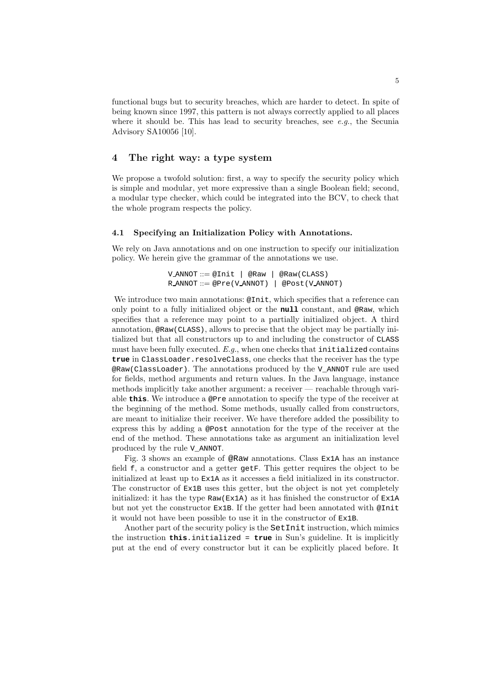functional bugs but to security breaches, which are harder to detect. In spite of being known since 1997, this pattern is not always correctly applied to all places where it should be. This has lead to security breaches, see *e.g.*, the Secunia Advisory SA10056 [10].

#### 4 The right way: a type system

We propose a twofold solution: first, a way to specify the security policy which is simple and modular, yet more expressive than a single Boolean field; second, a modular type checker, which could be integrated into the BCV, to check that the whole program respects the policy.

#### 4.1 Specifying an Initialization Policy with Annotations.

We rely on Java annotations and on one instruction to specify our initialization policy. We herein give the grammar of the annotations we use.

```
V ANNOT ::= @Init | @Raw | @Raw(CLASS)
R ANNOT ::= @Pre(V ANNOT) | @Post(V ANNOT)
```
We introduce two main annotations:  $\text{qInit}$ , which specifies that a reference can only point to a fully initialized object or the **null** constant, and @Raw, which specifies that a reference may point to a partially initialized object. A third annotation, @Raw(CLASS), allows to precise that the object may be partially initialized but that all constructors up to and including the constructor of CLASS must have been fully executed. *E.g.*, when one checks that initialized contains **true** in ClassLoader.resolveClass, one checks that the receiver has the type @Raw(ClassLoader). The annotations produced by the V\_ANNOT rule are used for fields, method arguments and return values. In the Java language, instance methods implicitly take another argument: a receiver — reachable through variable **this**. We introduce a @Pre annotation to specify the type of the receiver at the beginning of the method. Some methods, usually called from constructors, are meant to initialize their receiver. We have therefore added the possibility to express this by adding a @Post annotation for the type of the receiver at the end of the method. These annotations take as argument an initialization level produced by the rule V\_ANNOT.

Fig. 3 shows an example of @Raw annotations. Class Ex1A has an instance field f, a constructor and a getter getF. This getter requires the object to be initialized at least up to Ex1A as it accesses a field initialized in its constructor. The constructor of Ex1B uses this getter, but the object is not yet completely initialized: it has the type  $\text{Raw}(Ex1A)$  as it has finished the constructor of  $Ex1A$ but not yet the constructor Ex1B. If the getter had been annotated with @Init it would not have been possible to use it in the constructor of Ex1B.

Another part of the security policy is the SetInit instruction, which mimics the instruction **this**.initialized = **true** in Sun's guideline. It is implicitly put at the end of every constructor but it can be explicitly placed before. It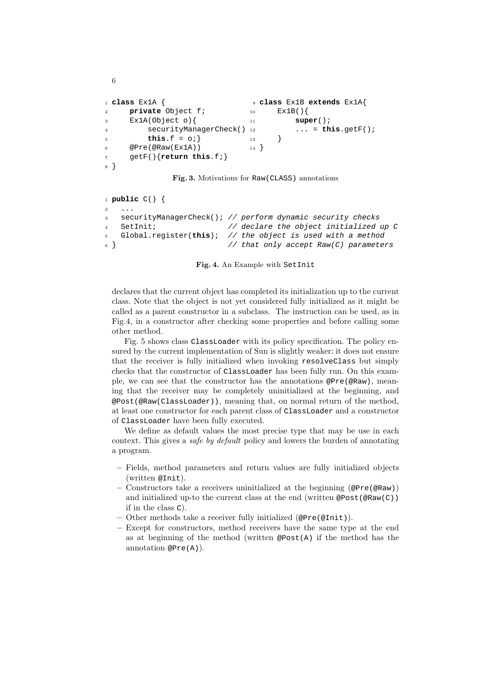```
1 class Ex1A {
2 private Object f;
3 Ex1A(Object o){
4 securityManagerCheck() 12
5 this. f = 0;
6 @Pre(@Raw(Ex1A))
7 getF(){return this.f;}
8 }
                            9 class Ex1B extends Ex1A{
                            10 Ex1B(){
                            11 super();
                                     \ldots = this.getF();
                            13 }
                            14 }
```
6

Fig. 3. Motivations for Raw(CLASS) annotations

```
1 public C() {
2 ...
3 securityManagerCheck(); // perform dynamic security checks
4 SetInit; // declare the object initialized up C
5 Global.register(this); // the object is used with a method
6 } // that only accept Raw(C) parameters
```
Fig. 4. An Example with SetInit

declares that the current object has completed its initialization up to the current class. Note that the object is not yet considered fully initialized as it might be called as a parent constructor in a subclass. The instruction can be used, as in Fig.4, in a constructor after checking some properties and before calling some other method.

Fig. 5 shows class ClassLoader with its policy specification. The policy ensured by the current implementation of Sun is slightly weaker: it does not ensure that the receiver is fully initialized when invoking resolveClass but simply checks that the constructor of ClassLoader has been fully run. On this example, we can see that the constructor has the annotations @Pre(@Raw), meaning that the receiver may be completely uninitialized at the beginning, and @Post(@Raw(ClassLoader)), meaning that, on normal return of the method, at least one constructor for each parent class of ClassLoader and a constructor of ClassLoader have been fully executed.

We define as default values the most precise type that may be use in each context. This gives a *safe by default* policy and lowers the burden of annotating a program.

- Fields, method parameters and return values are fully initialized objects (written @Init).
- Constructors take a receivers uninitialized at the beginning ( $@Pre(@Raw)$ ) and initialized up-to the current class at the end (written  $\mathcal{Q}$ Post( $\mathcal{Q}$ Raw(C)) if in the class C).
- Other methods take a receiver fully initialized (@Pre(@Init)).
- Except for constructors, method receivers have the same type at the end as at beginning of the method (written  $\mathcal{Q}$ Post(A) if the method has the annotation @Pre(A)).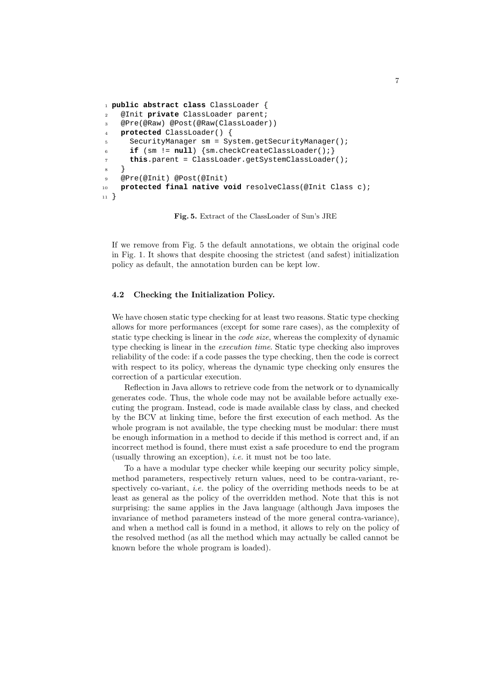```
1 public abstract class ClassLoader {
   2 @Init private ClassLoader parent;
3 @Pre(@Raw) @Post(@Raw(ClassLoader))
4 protected ClassLoader() {
5 SecurityManager sm = System.getSecurityManager();
6 if (sm != null) {sm.checkCreateClassLoader();}
7 this.parent = ClassLoader.getSystemClassLoader();
8 }
9 @Pre(@Init) @Post(@Init)
10 protected final native void resolveClass(@Init Class c);
11 }
```
Fig. 5. Extract of the ClassLoader of Sun's JRE

If we remove from Fig. 5 the default annotations, we obtain the original code in Fig. 1. It shows that despite choosing the strictest (and safest) initialization policy as default, the annotation burden can be kept low.

#### 4.2 Checking the Initialization Policy.

We have chosen static type checking for at least two reasons. Static type checking allows for more performances (except for some rare cases), as the complexity of static type checking is linear in the *code size*, whereas the complexity of dynamic type checking is linear in the *execution time*. Static type checking also improves reliability of the code: if a code passes the type checking, then the code is correct with respect to its policy, whereas the dynamic type checking only ensures the correction of a particular execution.

Reflection in Java allows to retrieve code from the network or to dynamically generates code. Thus, the whole code may not be available before actually executing the program. Instead, code is made available class by class, and checked by the BCV at linking time, before the first execution of each method. As the whole program is not available, the type checking must be modular: there must be enough information in a method to decide if this method is correct and, if an incorrect method is found, there must exist a safe procedure to end the program (usually throwing an exception), *i.e.* it must not be too late.

To a have a modular type checker while keeping our security policy simple, method parameters, respectively return values, need to be contra-variant, respectively co-variant, *i.e.* the policy of the overriding methods needs to be at least as general as the policy of the overridden method. Note that this is not surprising: the same applies in the Java language (although Java imposes the invariance of method parameters instead of the more general contra-variance), and when a method call is found in a method, it allows to rely on the policy of the resolved method (as all the method which may actually be called cannot be known before the whole program is loaded).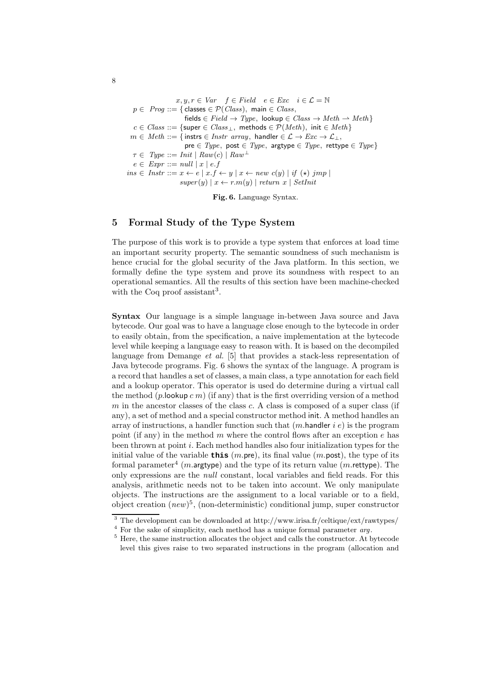```
x, y, r \in Var \quad f \in Field \quad e \in Exc \quad i \in \mathcal{L} = \mathbb{N}p \in Prog ::= \{ \text{classes} \in \mathcal{P}(Class), \text{ main} \in Class,fields \in Field \rightarrow Type, lookup \in Class \rightarrow Meth \rightarrow Meth}
   c \in Class ::= \{ \text{super} \in Class_{\perp}, \text{ methods} \in \mathcal{P}(Meth), \text{ init} \in Meth \}m \in Meth ::= \{ \text{instr } s \in Instr \; array, \; handler \in \mathcal{L} \rightarrow Exc \rightarrow \mathcal{L} \}\mathsf{pre} \in \mathit{Type}, \ \mathsf{post} \in \mathit{Type}, \ \mathsf{argtype} \in \mathit{Type} \}\tau \in Type ::= Init \mid Raw(c) \mid Raw^{\perp}e \in \n \textit{Expr} ::= \textit{null} \mid x \mid e.fins \in Instr ::= x \leftarrow e \mid x.f \leftarrow y \mid x \leftarrow new \ c(y) \mid if \ (\star) \ jmp \ \midsuper(y) | x \leftarrow r.m(y) | return x | SetInit
```
Fig. 6. Language Syntax.

#### 5 Formal Study of the Type System

The purpose of this work is to provide a type system that enforces at load time an important security property. The semantic soundness of such mechanism is hence crucial for the global security of the Java platform. In this section, we formally define the type system and prove its soundness with respect to an operational semantics. All the results of this section have been machine-checked with the Coq proof assistant<sup>3</sup>.

Syntax Our language is a simple language in-between Java source and Java bytecode. Our goal was to have a language close enough to the bytecode in order to easily obtain, from the specification, a naive implementation at the bytecode level while keeping a language easy to reason with. It is based on the decompiled language from Demange *et al.* [5] that provides a stack-less representation of Java bytecode programs. Fig. 6 shows the syntax of the language. A program is a record that handles a set of classes, a main class, a type annotation for each field and a lookup operator. This operator is used do determine during a virtual call the method (p.lookup c m) (if any) that is the first overriding version of a method m in the ancestor classes of the class c. A class is composed of a super class (if any), a set of method and a special constructor method init. A method handles an array of instructions, a handler function such that  $(m)$  handler  $i e$ ) is the program point (if any) in the method  $m$  where the control flows after an exception  $e$  has been thrown at point i. Each method handles also four initialization types for the initial value of the variable **this**  $(m.\text{pre})$ , its final value  $(m.\text{post})$ , the type of its formal parameter<sup>4</sup> (m.argtype) and the type of its return value (m.rettype). The only expressions are the *null* constant, local variables and field reads. For this analysis, arithmetic needs not to be taken into account. We only manipulate objects. The instructions are the assignment to a local variable or to a field, object creation (*new*) 5 , (non-deterministic) conditional jump, super constructor

8

<sup>3</sup> The development can be downloaded at http://www.irisa.fr/celtique/ext/rawtypes/

 $4$  For the sake of simplicity, each method has a unique formal parameter  $arg$ .

<sup>5</sup> Here, the same instruction allocates the object and calls the constructor. At bytecode level this gives raise to two separated instructions in the program (allocation and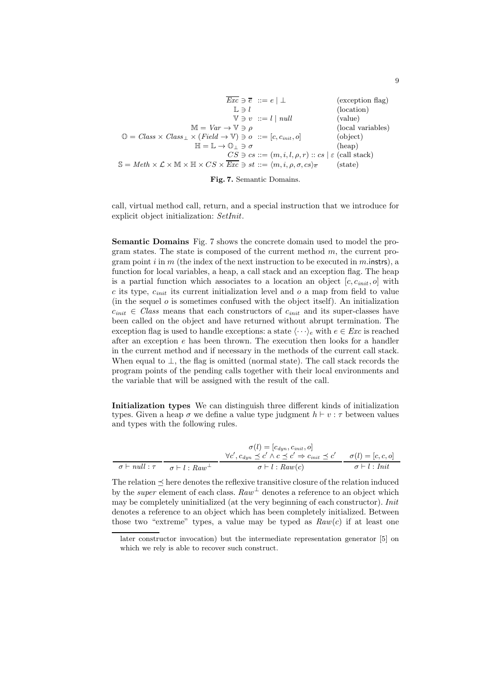$$
\overline{Exc} \ni \overline{e} \ ::= e \mid \bot \qquad \qquad \text{(exception flag)}
$$
\n
$$
\mathbb{L} \ni l \qquad \qquad \text{(location)}
$$
\n
$$
\mathbb{V} \ni v ::= l \mid null \qquad \qquad \text{(value)}
$$
\n
$$
\mathbb{O} = Class \times Class_{\perp} \times (Field \rightarrow \mathbb{V}) \ni o ::= [c, c_{init}, o] \qquad \qquad \text{(object)}
$$
\n
$$
\mathbb{H} = \mathbb{L} \rightarrow \mathbb{O}_{\perp} \ni \sigma \qquad \qquad \text{(heap)}
$$
\n
$$
\mathbb{S} = Meth \times \mathcal{L} \times \mathbb{M} \times \mathbb{H} \times CS \times \overline{Exc} \ni st ::= \langle m, i, \rho, \sigma, cs \rangle_{\overline{e}} \qquad \qquad \text{(state)}
$$

Fig. 7. Semantic Domains.

call, virtual method call, return, and a special instruction that we introduce for explicit object initialization: *SetInit*.

Semantic Domains Fig. 7 shows the concrete domain used to model the program states. The state is composed of the current method  $m$ , the current program point i in  $m$  (the index of the next instruction to be executed in  $m$  instrs), a function for local variables, a heap, a call stack and an exception flag. The heap is a partial function which associates to a location an object  $[c, c_{init}, o]$  with  $c$  its type,  $c_{init}$  its current initialization level and  $o$  a map from field to value (in the sequel  $o$  is sometimes confused with the object itself). An initialization  $c_{init} \in Class$  means that each constructors of  $c_{init}$  and its super-classes have been called on the object and have returned without abrupt termination. The exception flag is used to handle exceptions: a state  $\langle \cdots \rangle_e$  with  $e \in Exc$  is reached after an exception  $e$  has been thrown. The execution then looks for a handler in the current method and if necessary in the methods of the current call stack. When equal to  $\perp$ , the flag is omitted (normal state). The call stack records the program points of the pending calls together with their local environments and the variable that will be assigned with the result of the call.

Initialization types We can distinguish three different kinds of initialization types. Given a heap  $\sigma$  we define a value type judgment  $h \vdash v : \tau$  between values and types with the following rules.

$$
\sigma(l) = [c_{dyn}, c_{init}, o]
$$
\n
$$
\sigma \vdash null : \tau
$$
\n
$$
\sigma \vdash null : \tau
$$
\n
$$
\sigma \vdash l : Raw^{\perp}
$$
\n
$$
\forall c', c_{dyn} \leq c' \land c \leq c' \Rightarrow c_{init} \leq c' \quad \sigma(l) = [c, c, o]
$$

The relation  $\prec$  here denotes the reflexive transitive closure of the relation induced by the *super* element of each class.  $Raw^{\perp}$  denotes a reference to an object which may be completely uninitialized (at the very beginning of each constructor). *Init* denotes a reference to an object which has been completely initialized. Between those two "extreme" types, a value may be typed as  $Raw(c)$  if at least one

later constructor invocation) but the intermediate representation generator [5] on which we rely is able to recover such construct.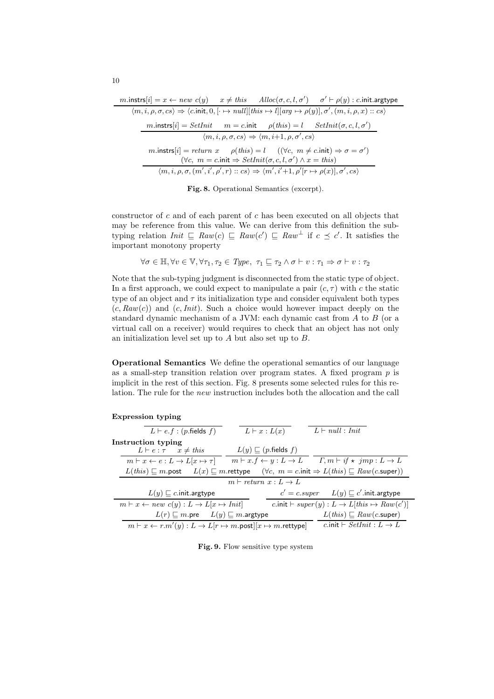$m.\mathsf{instrs}[i] = x \leftarrow new \ c(y) \qquad x \neq this \qquad \mathit{Alice}(\sigma, c, l, \sigma')$  $\sigma' \vdash \rho(y) : c.\text{init.}$ argtype

| $\langle m, i, \rho, \sigma, cs \rangle \Rightarrow \langle c.\mathsf{init}, 0, [\cdot \mapsto null][\mathit{this} \mapsto l][\mathit{arg} \mapsto \rho(y)], \sigma', (m, i, \rho, x) :: cs \rangle$                                      |                                                                                                                  |  |  |  |
|-------------------------------------------------------------------------------------------------------------------------------------------------------------------------------------------------------------------------------------------|------------------------------------------------------------------------------------------------------------------|--|--|--|
|                                                                                                                                                                                                                                           | $m.\text{instrs}[i] = SetInit \quad m = c.\text{init} \quad \rho(this) = l \quad SetInit(\sigma, c, l, \sigma')$ |  |  |  |
| $\langle m, i, \rho, \sigma, cs \rangle \Rightarrow \langle m, i+1, \rho, \sigma', cs \rangle$                                                                                                                                            |                                                                                                                  |  |  |  |
| $m.\text{instrs}[i] = return x$ $\rho(this) = l$ $(\forall c, m \neq c.\text{init}) \Rightarrow \sigma = \sigma')$                                                                                                                        |                                                                                                                  |  |  |  |
| $(\forall c, m = c.\text{init} \Rightarrow SetInit(\sigma, c, l, \sigma') \land x = this)$<br>$\langle m, i, \rho, \sigma, (m', i', \rho', r) :: cs \rangle \Rightarrow \langle m', i'+1, \rho' [r \mapsto \rho(x)], \sigma', cs \rangle$ |                                                                                                                  |  |  |  |

Fig. 8. Operational Semantics (excerpt).

constructor of  $c$  and of each parent of  $c$  has been executed on all objects that may be reference from this value. We can derive from this definition the subtyping relation  $Init \subseteq Raw(c) \subseteq Raw(c') \subseteq Raw^{\perp}$  if  $c \preceq c'$ . It satisfies the important monotony property

$$
\forall \sigma \in \mathbb{H}, \forall v \in \mathbb{V}, \forall \tau_1, \tau_2 \in \mathit{Type}, \ \tau_1 \sqsubseteq \tau_2 \land \sigma \vdash v : \tau_1 \Rightarrow \sigma \vdash v : \tau_2
$$

Note that the sub-typing judgment is disconnected from the static type of object. In a first approach, we could expect to manipulate a pair  $(c, \tau)$  with c the static type of an object and  $\tau$  its initialization type and consider equivalent both types  $(c, Raw(c))$  and  $(c,Init)$ . Such a choice would however impact deeply on the standard dynamic mechanism of a JVM: each dynamic cast from A to B (or a virtual call on a receiver) would requires to check that an object has not only an initialization level set up to A but also set up to B.

Operational Semantics We define the operational semantics of our language as a small-step transition relation over program states. A fixed program  $p$  is implicit in the rest of this section. Fig. 8 presents some selected rules for this relation. The rule for the *new* instruction includes both the allocation and the call

| <b>Expression typing</b>                                                                                                                                     |                                  |                                                                                                 |  |  |
|--------------------------------------------------------------------------------------------------------------------------------------------------------------|----------------------------------|-------------------------------------------------------------------------------------------------|--|--|
| $L \vdash e.f : (p.\text{fields } f)$                                                                                                                        | $L \vdash x : L(x)$              | $L \vdash null : Init$                                                                          |  |  |
| Instruction typing<br>$L \vdash e : \tau \quad x \neq this$                                                                                                  | $L(y) \sqsubseteq (p$ -fields f) |                                                                                                 |  |  |
| $m \vdash x \leftarrow e : L \rightarrow L[x \mapsto \tau]$                                                                                                  |                                  | $m \vdash x.f \leftarrow y : L \rightarrow L$ $\Gamma, m \vdash if \star jmp : L \rightarrow L$ |  |  |
| $L(this) \sqsubseteq m.\text{post}$ $L(x) \sqsubseteq m.\text{network}$ $(\forall c, m = c.\text{init} \Rightarrow L(this) \sqsubseteq Raw(c.\text{super}))$ |                                  |                                                                                                 |  |  |
| $m \vdash return x : L \rightarrow L$                                                                                                                        |                                  |                                                                                                 |  |  |
| $L(y) \sqsubseteq c$ .init.argtype                                                                                                                           |                                  | $c' = c$ . super $L(y) \sqsubseteq c'$ . in it. argive                                          |  |  |
| $m \vdash x \leftarrow new \ c(y) : L \rightarrow L[x \mapsto Init]$<br>c.init $\vdash super(y): L \to L[this \mapsto Raw(c')]$                              |                                  |                                                                                                 |  |  |
| $L(r) \sqsubseteq m$ .pre $L(y) \sqsubseteq m$ .argtype                                                                                                      |                                  | $L(this) \sqsubseteq Raw(c.\text{super})$                                                       |  |  |
| $m \vdash x \leftarrow r.m'(y) : L \rightarrow L[r \mapsto m.\text{post}][x \mapsto m.\text{rettype}]$                                                       |                                  | $c.\mathsf{init} \vdash \mathit{SetInit} : L \rightarrow L$                                     |  |  |

Fig. 9. Flow sensitive type system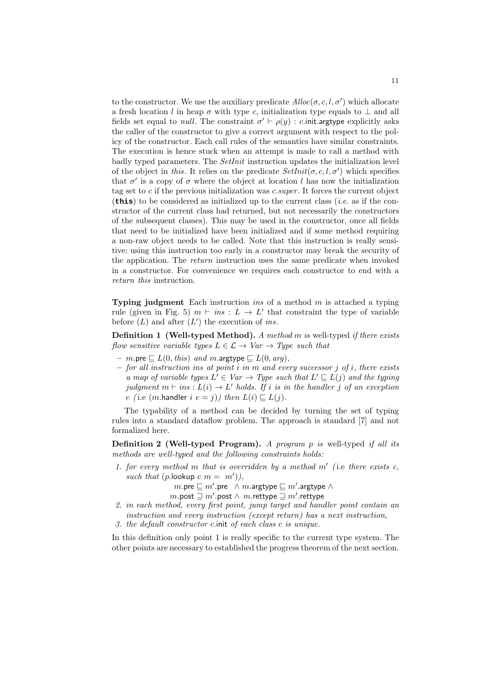to the constructor. We use the auxiliary predicate  $\text{Alloc}(\sigma, c, l, \sigma')$  which allocate a fresh location l in heap  $\sigma$  with type c, initialization type equals to  $\perp$  and all fields set equal to *null*. The constraint  $\sigma' \vdash \rho(y)$ : c.init.argtype explicitly asks the caller of the constructor to give a correct argument with respect to the policy of the constructor. Each call rules of the semantics have similar constraints. The execution is hence stuck when an attempt is made to call a method with badly typed parameters. The *SetInit* instruction updates the initialization level of the object in *this*. It relies on the predicate  $SetInit(\sigma, c, l, \sigma')$  which specifies that  $\sigma'$  is a copy of  $\sigma$  where the object at location l has now the initialization tag set to c if the previous initialization was c.*super*. It forces the current object (**this**) to be considered as initialized up to the current class (*i.e.* as if the constructor of the current class had returned, but not necessarily the constructors of the subsequent classes). This may be used in the constructor, once all fields that need to be initialized have been initialized and if some method requiring a non-raw object needs to be called. Note that this instruction is really sensitive: using this instruction too early in a constructor may break the security of the application. The *return* instruction uses the same predicate when invoked in a constructor. For convenience we requires each constructor to end with a *return this* instruction.

Typing judgment Each instruction *ins* of a method m is attached a typing rule (given in Fig. 5)  $m \vdash ins : L \to L'$  that constraint the type of variable before  $(L)$  and after  $(L')$  the execution of *ins*.

Definition 1 (Well-typed Method). *A method* m *is* well-typed *if there exists flow sensitive variable types*  $L \in \mathcal{L} \rightarrow Var \rightarrow Type$  *such that* 

- m.pre ⊑ L(0, *this*) *and* m.argtype ⊑ L(0, *arg*)*,*
- *for all instruction ins at point* i *in* m *and every successor* j *of* i*, there exists*  $\overline{L}$  *a* map of variable types  $\overline{L'} \in \overline{Var} \to \overline{Type}$  such that  $L' \sqsubseteq L(j)$  and the typing  $judgment \, m \vdash ins : L(i) \rightarrow L' \, holds.$  If i is in the handler  $j'$  of an exception e (i.e (m.handler  $i e = j$ )) then  $L(i) \sqsubset L(j)$ .

The typability of a method can be decided by turning the set of typing rules into a standard dataflow problem. The approach is standard [7] and not formalized here.

Definition 2 (Well-typed Program). *A program* p *is* well-typed *if all its methods are well-typed and the following constraints holds:*

*1. for every method* m *that is overridden by a method* m′ *(* i.e *there exists c,* such that  $(p\text{-lookup } c \text{ } m = \text{ } m'))$ ,

 $m.$ pr $\in \Box$   $m'.$ pre  $\Box \wedge m$ .argtype  $\Box$   $m'.$ argtype  $\land$ 

 $m$ .post  $\supseteq m'$ .post ∧  $m$ .rettype  $\supseteq m'$ .rettype

- *2. in each method, every first point, jump target and handler point contain an instruction and every instruction (except return) has a next instruction,*
- *3. the default constructor* c.init *of each class* c *is unique.*

In this definition only point 1 is really specific to the current type system. The other points are necessary to established the progress theorem of the next section.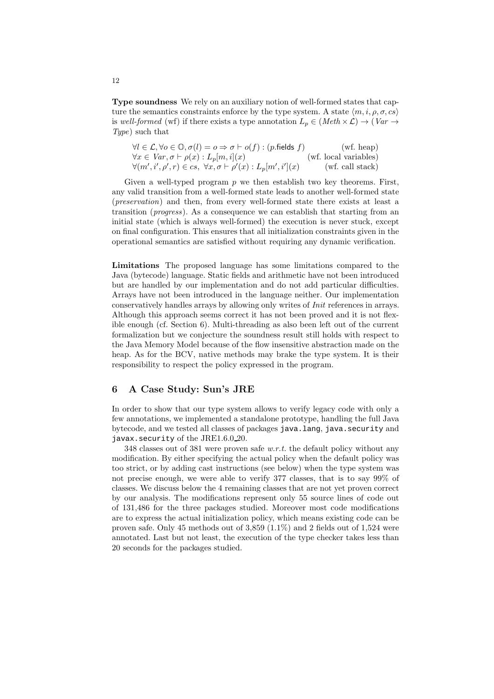Type soundness We rely on an auxiliary notion of well-formed states that capture the semantics constraints enforce by the type system. A state  $\langle m, i, \rho, \sigma, cs \rangle$ is *well-formed* (wf) if there exists a type annotation  $L_p \in (Meth \times \mathcal{L}) \rightarrow (Var \rightarrow$ *Type*) such that

| $\forall l \in \mathcal{L}, \forall o \in \mathbb{O}, \sigma(l) = o \Rightarrow \sigma \vdash o(f) : (p \text{. fields } f)$ | (wf. heap)            |
|------------------------------------------------------------------------------------------------------------------------------|-----------------------|
| $\forall x \in Var, \sigma \vdash \rho(x) : L_p[m, i](x)$                                                                    | (wf. local variables) |
| $\forall (m', i', \rho', r) \in cs, \ \forall x, \sigma \vdash \rho'(x) : L_p[m', i'](x)$                                    | (wf. call stack)      |

Given a well-typed program  $p$  we then establish two key theorems. First, any valid transition from a well-formed state leads to another well-formed state (*preservation*) and then, from every well-formed state there exists at least a transition (*progress*). As a consequence we can establish that starting from an initial state (which is always well-formed) the execution is never stuck, except on final configuration. This ensures that all initialization constraints given in the operational semantics are satisfied without requiring any dynamic verification.

Limitations The proposed language has some limitations compared to the Java (bytecode) language. Static fields and arithmetic have not been introduced but are handled by our implementation and do not add particular difficulties. Arrays have not been introduced in the language neither. Our implementation conservatively handles arrays by allowing only writes of *Init* references in arrays. Although this approach seems correct it has not been proved and it is not flexible enough (cf. Section 6). Multi-threading as also been left out of the current formalization but we conjecture the soundness result still holds with respect to the Java Memory Model because of the flow insensitive abstraction made on the heap. As for the BCV, native methods may brake the type system. It is their responsibility to respect the policy expressed in the program.

#### 6 A Case Study: Sun's JRE

In order to show that our type system allows to verify legacy code with only a few annotations, we implemented a standalone prototype, handling the full Java bytecode, and we tested all classes of packages java.lang, java.security and javax.security of the JRE1.6.0.20.

348 classes out of 381 were proven safe *w.r.t.* the default policy without any modification. By either specifying the actual policy when the default policy was too strict, or by adding cast instructions (see below) when the type system was not precise enough, we were able to verify 377 classes, that is to say 99% of classes. We discuss below the 4 remaining classes that are not yet proven correct by our analysis. The modifications represent only 55 source lines of code out of 131,486 for the three packages studied. Moreover most code modifications are to express the actual initialization policy, which means existing code can be proven safe. Only 45 methods out of 3,859 (1.1%) and 2 fields out of 1,524 were annotated. Last but not least, the execution of the type checker takes less than 20 seconds for the packages studied.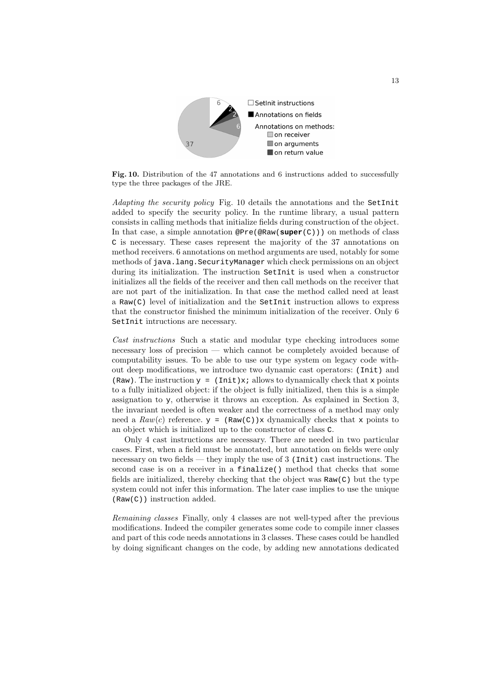

Fig. 10. Distribution of the 47 annotations and 6 instructions added to successfully type the three packages of the JRE.

*Adapting the security policy* Fig. 10 details the annotations and the SetInit added to specify the security policy. In the runtime library, a usual pattern consists in calling methods that initialize fields during construction of the object. In that case, a simple annotation @Pre(@Raw(**super**(C))) on methods of class C is necessary. These cases represent the majority of the 37 annotations on method receivers. 6 annotations on method arguments are used, notably for some methods of java.lang.SecurityManager which check permissions on an object during its initialization. The instruction SetInit is used when a constructor initializes all the fields of the receiver and then call methods on the receiver that are not part of the initialization. In that case the method called need at least a Raw(C) level of initialization and the SetInit instruction allows to express that the constructor finished the minimum initialization of the receiver. Only 6 SetInit intructions are necessary.

*Cast instructions* Such a static and modular type checking introduces some necessary loss of precision — which cannot be completely avoided because of computability issues. To be able to use our type system on legacy code without deep modifications, we introduce two dynamic cast operators: (Init) and (Raw). The instruction  $y = (\text{Init})x$ ; allows to dynamically check that x points to a fully initialized object: if the object is fully initialized, then this is a simple assignation to y, otherwise it throws an exception. As explained in Section 3, the invariant needed is often weaker and the correctness of a method may only need a  $Raw(c)$  reference.  $y = (Raw(c))x$  dynamically checks that x points to an object which is initialized up to the constructor of class C.

Only 4 cast instructions are necessary. There are needed in two particular cases. First, when a field must be annotated, but annotation on fields were only necessary on two fields — they imply the use of 3 (Init) cast instructions. The second case is on a receiver in a finalize() method that checks that some fields are initialized, thereby checking that the object was  $\text{Raw}(C)$  but the type system could not infer this information. The later case implies to use the unique (Raw(C)) instruction added.

*Remaining classes* Finally, only 4 classes are not well-typed after the previous modifications. Indeed the compiler generates some code to compile inner classes and part of this code needs annotations in 3 classes. These cases could be handled by doing significant changes on the code, by adding new annotations dedicated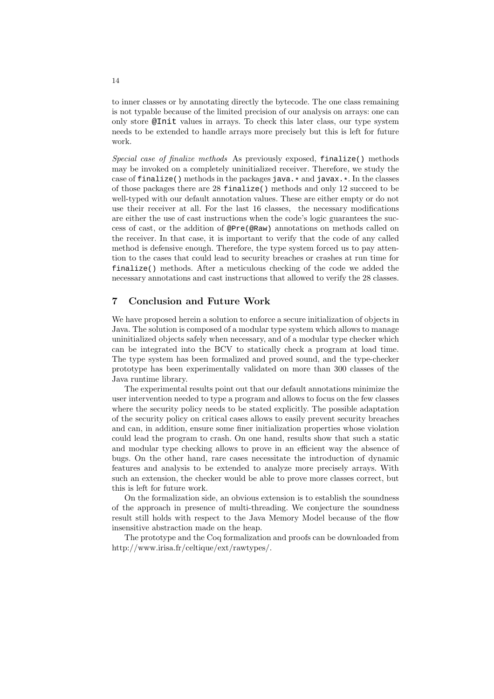to inner classes or by annotating directly the bytecode. The one class remaining is not typable because of the limited precision of our analysis on arrays: one can only store @Init values in arrays. To check this later class, our type system needs to be extended to handle arrays more precisely but this is left for future work.

*Special case of finalize methods* As previously exposed, finalize() methods may be invoked on a completely uninitialized receiver. Therefore, we study the case of finalize() methods in the packages java.  $*$  and javax.  $*$ . In the classes of those packages there are 28 finalize() methods and only 12 succeed to be well-typed with our default annotation values. These are either empty or do not use their receiver at all. For the last 16 classes, the necessary modifications are either the use of cast instructions when the code's logic guarantees the success of cast, or the addition of @Pre(@Raw) annotations on methods called on the receiver. In that case, it is important to verify that the code of any called method is defensive enough. Therefore, the type system forced us to pay attention to the cases that could lead to security breaches or crashes at run time for finalize() methods. After a meticulous checking of the code we added the necessary annotations and cast instructions that allowed to verify the 28 classes.

#### 7 Conclusion and Future Work

We have proposed herein a solution to enforce a secure initialization of objects in Java. The solution is composed of a modular type system which allows to manage uninitialized objects safely when necessary, and of a modular type checker which can be integrated into the BCV to statically check a program at load time. The type system has been formalized and proved sound, and the type-checker prototype has been experimentally validated on more than 300 classes of the Java runtime library.

The experimental results point out that our default annotations minimize the user intervention needed to type a program and allows to focus on the few classes where the security policy needs to be stated explicitly. The possible adaptation of the security policy on critical cases allows to easily prevent security breaches and can, in addition, ensure some finer initialization properties whose violation could lead the program to crash. On one hand, results show that such a static and modular type checking allows to prove in an efficient way the absence of bugs. On the other hand, rare cases necessitate the introduction of dynamic features and analysis to be extended to analyze more precisely arrays. With such an extension, the checker would be able to prove more classes correct, but this is left for future work.

On the formalization side, an obvious extension is to establish the soundness of the approach in presence of multi-threading. We conjecture the soundness result still holds with respect to the Java Memory Model because of the flow insensitive abstraction made on the heap.

The prototype and the Coq formalization and proofs can be downloaded from http://www.irisa.fr/celtique/ext/rawtypes/.